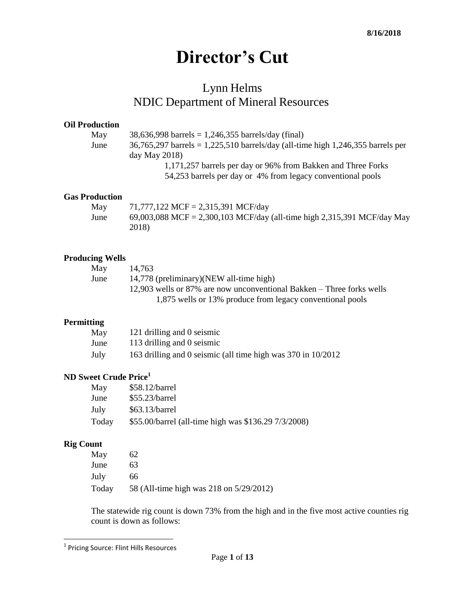# **Director's Cut**

# Lynn Helms NDIC Department of Mineral Resources

#### **Oil Production**

| May  | $38,636,998$ barrels = 1,246,355 barrels/day (final)                              |
|------|-----------------------------------------------------------------------------------|
| June | $36,765,297$ barrels = 1,225,510 barrels/day (all-time high 1,246,355 barrels per |
|      | day May $2018$ )                                                                  |
|      | 1,171,257 barrels per day or 96% from Bakken and Three Forks                      |
|      | 54,253 barrels per day or 4% from legacy conventional pools                       |

### **Gas Production**

| May  | 71,777,122 MCF = 2,315,391 MCF/day                                      |
|------|-------------------------------------------------------------------------|
| June | 69,003,088 MCF = 2,300,103 MCF/day (all-time high 2,315,391 MCF/day May |
|      | 2018)                                                                   |

#### **Producing Wells**

| 14,763                                                                |
|-----------------------------------------------------------------------|
| 14,778 (preliminary)(NEW all-time high)                               |
| 12,903 wells or 87% are now unconventional Bakken – Three forks wells |
| 1,875 wells or 13% produce from legacy conventional pools             |
|                                                                       |

#### **Permitting**

| May  | 121 drilling and 0 seismic                                   |
|------|--------------------------------------------------------------|
| June | 113 drilling and 0 seismic                                   |
| July | 163 drilling and 0 seismic (all time high was 370 in 10/2012 |

## **ND Sweet Crude Price<sup>1</sup>**

| May   | \$58.12/barrel                                       |
|-------|------------------------------------------------------|
| June  | \$55.23/barrel                                       |
| July  | $$63.13/b$ arrel                                     |
| Today | \$55.00/barrel (all-time high was \$136.29 7/3/2008) |

## **Rig Count**

| May   | 62                                      |
|-------|-----------------------------------------|
| June  | 63                                      |
| July  | 66.                                     |
| Today | 58 (All-time high was 218 on 5/29/2012) |

The statewide rig count is down 73% from the high and in the five most active counties rig count is down as follows:

 1 Pricing Source: Flint Hills Resources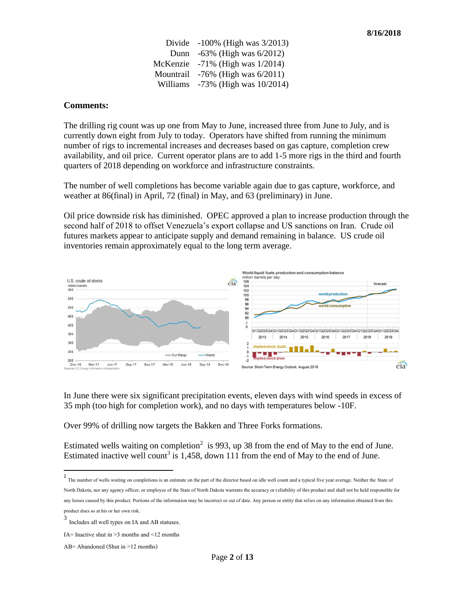Divide -100% (High was 3/2013) Dunn -63% (High was 6/2012) McKenzie -71% (High was 1/2014) Mountrail -76% (High was 6/2011) Williams -73% (High was 10/2014)

#### **Comments:**

The drilling rig count was up one from May to June, increased three from June to July, and is currently down eight from July to today. Operators have shifted from running the minimum number of rigs to incremental increases and decreases based on gas capture, completion crew availability, and oil price. Current operator plans are to add 1-5 more rigs in the third and fourth quarters of 2018 depending on workforce and infrastructure constraints.

The number of well completions has become variable again due to gas capture, workforce, and weather at 86(final) in April, 72 (final) in May, and 63 (preliminary) in June.

Oil price downside risk has diminished. OPEC approved a plan to increase production through the second half of 2018 to offset Venezuela's export collapse and US sanctions on Iran. Crude oil futures markets appear to anticipate supply and demand remaining in balance. US crude oil inventories remain approximately equal to the long term average.



In June there were six significant precipitation events, eleven days with wind speeds in excess of 35 mph (too high for completion work), and no days with temperatures below -10F.

Over 99% of drilling now targets the Bakken and Three Forks formations.

Estimated wells waiting on completion<sup>2</sup> is 993, up 38 from the end of May to the end of June. Estimated inactive well count<sup>3</sup> is 1,458, down 111 from the end of May to the end of June.

<sup>2</sup> The number of wells waiting on completions is an estimate on the part of the director based on idle well count and a typical five year average. Neither the State of North Dakota, nor any agency officer, or employee of the State of North Dakota warrants the accuracy or reliability of this product and shall not be held responsible for any losses caused by this product. Portions of the information may be incorrect or out of date. Any person or entity that relies on any information obtained from this product does so at his or her own risk.

 $\overline{\phantom{a}}$ 

<sup>3</sup> Includes all well types on IA and AB statuses.

IA= Inactive shut in >3 months and <12 months

AB= Abandoned (Shut in >12 months)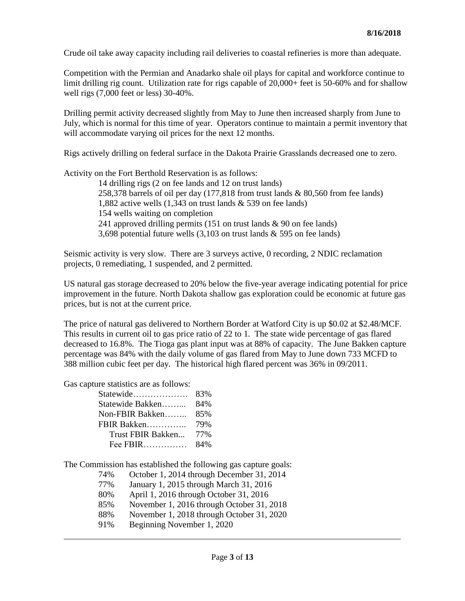Crude oil take away capacity including rail deliveries to coastal refineries is more than adequate.

Competition with the Permian and Anadarko shale oil plays for capital and workforce continue to limit drilling rig count. Utilization rate for rigs capable of 20,000+ feet is 50-60% and for shallow well rigs (7,000 feet or less) 30-40%.

Drilling permit activity decreased slightly from May to June then increased sharply from June to July, which is normal for this time of year. Operators continue to maintain a permit inventory that will accommodate varying oil prices for the next 12 months.

Rigs actively drilling on federal surface in the Dakota Prairie Grasslands decreased one to zero.

Activity on the Fort Berthold Reservation is as follows:

14 drilling rigs (2 on fee lands and 12 on trust lands) 258,378 barrels of oil per day (177,818 from trust lands & 80,560 from fee lands) 1,882 active wells (1,343 on trust lands & 539 on fee lands) 154 wells waiting on completion 241 approved drilling permits (151 on trust lands & 90 on fee lands) 3,698 potential future wells (3,103 on trust lands & 595 on fee lands)

Seismic activity is very slow. There are 3 surveys active, 0 recording, 2 NDIC reclamation projects, 0 remediating, 1 suspended, and 2 permitted.

US natural gas storage decreased to 20% below the five-year average indicating potential for price improvement in the future. North Dakota shallow gas exploration could be economic at future gas prices, but is not at the current price.

The price of natural gas delivered to Northern Border at Watford City is up \$0.02 at \$2.48/MCF. This results in current oil to gas price ratio of 22 to 1. The state wide percentage of gas flared decreased to 16.8%. The Tioga gas plant input was at 88% of capacity. The June Bakken capture percentage was 84% with the daily volume of gas flared from May to June down 733 MCFD to 388 million cubic feet per day. The historical high flared percent was 36% in 09/2011.

Gas capture statistics are as follows:

 $\overline{a}$ 

| Statewide         | 83% |
|-------------------|-----|
| Statewide Bakken  | 84% |
| Non-FBIR Bakken   | 85% |
| FBIR Bakken       | 79% |
| Trust FBIR Bakken | 77% |
| Fee $FBIR$        | 84% |

The Commission has established the following gas capture goals:

74% October 1, 2014 through December 31, 2014 77% January 1, 2015 through March 31, 2016 80% April 1, 2016 through October 31, 2016 85% November 1, 2016 through October 31, 2018 88% November 1, 2018 through October 31, 2020 91% Beginning November 1, 2020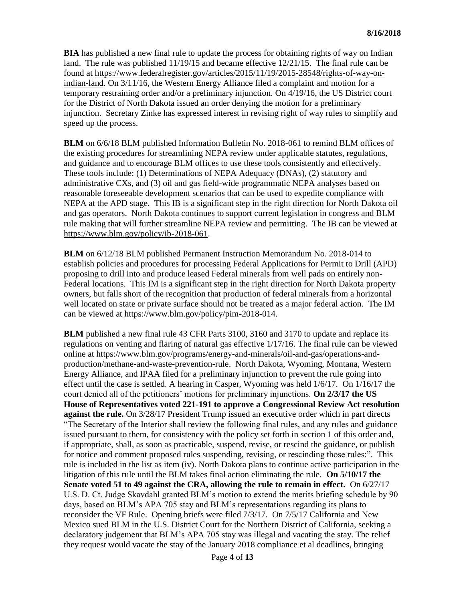**BIA** has published a new final rule to update the process for obtaining rights of way on Indian land. The rule was published 11/19/15 and became effective 12/21/15. The final rule can be found at [https://www.federalregister.gov/articles/2015/11/19/2015-28548/rights-of-way-on](https://www.federalregister.gov/articles/2015/11/19/2015-28548/rights-of-way-on-indian-land)[indian-land.](https://www.federalregister.gov/articles/2015/11/19/2015-28548/rights-of-way-on-indian-land) On 3/11/16, the Western Energy Alliance filed a complaint and motion for a temporary restraining order and/or a preliminary injunction. On 4/19/16, the US District court for the District of North Dakota issued an order denying the motion for a preliminary injunction. Secretary Zinke has expressed interest in revising right of way rules to simplify and speed up the process.

**BLM** on 6/6/18 BLM published Information Bulletin No. 2018-061 to remind BLM offices of the existing procedures for streamlining NEPA review under applicable statutes, regulations, and guidance and to encourage BLM offices to use these tools consistently and effectively. These tools include: (1) Determinations of NEPA Adequacy (DNAs), (2) statutory and administrative CXs, and (3) oil and gas field-wide programmatic NEPA analyses based on reasonable foreseeable development scenarios that can be used to expedite compliance with NEPA at the APD stage. This IB is a significant step in the right direction for North Dakota oil and gas operators. North Dakota continues to support current legislation in congress and BLM rule making that will further streamline NEPA review and permitting. The IB can be viewed at [https://www.blm.gov/policy/ib-2018-061.](https://www.blm.gov/policy/ib-2018-061)

**BLM** on 6/12/18 BLM published Permanent Instruction Memorandum No. 2018-014 to establish policies and procedures for processing Federal Applications for Permit to Drill (APD) proposing to drill into and produce leased Federal minerals from well pads on entirely non-Federal locations. This IM is a significant step in the right direction for North Dakota property owners, but falls short of the recognition that production of federal minerals from a horizontal well located on state or private surface should not be treated as a major federal action. The IM can be viewed at [https://www.blm.gov/policy/pim-2018-014.](https://www.blm.gov/policy/pim-2018-014)

**BLM** published a new final rule 43 CFR Parts 3100, 3160 and 3170 to update and replace its regulations on venting and flaring of natural gas effective 1/17/16. The final rule can be viewed online at [https://www.blm.gov/programs/energy-and-minerals/oil-and-gas/operations-and](https://www.blm.gov/programs/energy-and-minerals/oil-and-gas/operations-and-production/methane-and-waste-prevention-rule)[production/methane-and-waste-prevention-rule.](https://www.blm.gov/programs/energy-and-minerals/oil-and-gas/operations-and-production/methane-and-waste-prevention-rule) North Dakota, Wyoming, Montana, Western Energy Alliance, and IPAA filed for a preliminary injunction to prevent the rule going into effect until the case is settled. A hearing in Casper, Wyoming was held 1/6/17. On 1/16/17 the court denied all of the petitioners' motions for preliminary injunctions. **On 2/3/17 the US House of Representatives voted 221-191 to approve a Congressional Review Act resolution against the rule.** On 3/28/17 President Trump issued an executive order which in part directs "The Secretary of the Interior shall review the following final rules, and any rules and guidance issued pursuant to them, for consistency with the policy set forth in section 1 of this order and, if appropriate, shall, as soon as practicable, suspend, revise, or rescind the guidance, or publish for notice and comment proposed rules suspending, revising, or rescinding those rules:". This rule is included in the list as item (iv). North Dakota plans to continue active participation in the litigation of this rule until the BLM takes final action eliminating the rule. **On 5/10/17 the Senate voted 51 to 49 against the CRA, allowing the rule to remain in effect.** On 6/27/17 U.S. D. Ct. Judge Skavdahl granted BLM's motion to extend the merits briefing schedule by 90 days, based on BLM's APA 705 stay and BLM's representations regarding its plans to reconsider the VF Rule. Opening briefs were filed 7/3/17. On 7/5/17 California and New Mexico sued BLM in the U.S. District Court for the Northern District of California, seeking a declaratory judgement that BLM's APA 705 stay was illegal and vacating the stay. The relief they request would vacate the stay of the January 2018 compliance et al deadlines, bringing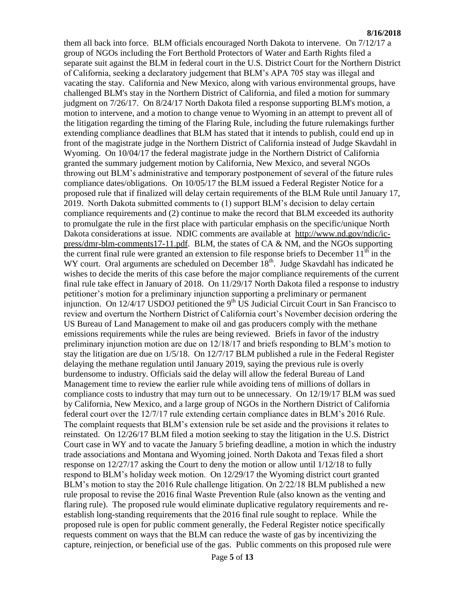#### **8/16/2018**

them all back into force. BLM officials encouraged North Dakota to intervene. On 7/12/17 a group of NGOs including the Fort Berthold Protectors of Water and Earth Rights filed a separate suit against the BLM in federal court in the U.S. District Court for the Northern District of California, seeking a declaratory judgement that BLM's APA 705 stay was illegal and vacating the stay. California and New Mexico, along with various environmental groups, have challenged BLM's stay in the Northern District of California, and filed a motion for summary judgment on 7/26/17. On 8/24/17 North Dakota filed a response supporting BLM's motion, a motion to intervene, and a motion to change venue to Wyoming in an attempt to prevent all of the litigation regarding the timing of the Flaring Rule, including the future rulemakings further extending compliance deadlines that BLM has stated that it intends to publish, could end up in front of the magistrate judge in the Northern District of California instead of Judge Skavdahl in Wyoming. On 10/04/17 the federal magistrate judge in the Northern District of California granted the summary judgement motion by California, New Mexico, and several NGOs throwing out BLM's administrative and temporary postponement of several of the future rules compliance dates/obligations. On 10/05/17 the BLM issued a Federal Register Notice for a proposed rule that if finalized will delay certain requirements of the BLM Rule until January 17, 2019. North Dakota submitted comments to (1) support BLM's decision to delay certain compliance requirements and (2) continue to make the record that BLM exceeded its authority to promulgate the rule in the first place with particular emphasis on the specific/unique North Dakota considerations at issue. NDIC comments are available at [http://www.nd.gov/ndic/ic](http://www.nd.gov/ndic/ic-press/dmr-blm-comments17-11.pdf)[press/dmr-blm-comments17-11.pdf.](http://www.nd.gov/ndic/ic-press/dmr-blm-comments17-11.pdf) BLM, the states of CA & NM, and the NGOs supporting the current final rule were granted an extension to file response briefs to December  $11<sup>th</sup>$  in the WY court. Oral arguments are scheduled on December  $18<sup>th</sup>$ . Judge Skavdahl has indicated he wishes to decide the merits of this case before the major compliance requirements of the current final rule take effect in January of 2018. On 11/29/17 North Dakota filed a response to industry petitioner's motion for a preliminary injunction supporting a preliminary or permanent injunction. On  $12/4/17$  USDOJ petitioned the 9<sup>th</sup> US Judicial Circuit Court in San Francisco to review and overturn the Northern District of California court's November decision ordering the US Bureau of Land Management to make oil and gas producers comply with the methane emissions requirements while the rules are being reviewed. Briefs in favor of the industry preliminary injunction motion are due on 12/18/17 and briefs responding to BLM's motion to stay the litigation are due on 1/5/18. On 12/7/17 BLM published a rule in the Federal Register delaying the methane regulation until January 2019, saying the previous rule is overly burdensome to industry. Officials said the delay will allow the federal Bureau of Land Management time to review the earlier rule while avoiding tens of millions of dollars in compliance costs to industry that may turn out to be unnecessary. On 12/19/17 BLM was sued by California, New Mexico, and a large group of NGOs in the Northern District of California federal court over the 12/7/17 rule extending certain compliance dates in BLM's 2016 Rule. The complaint requests that BLM's extension rule be set aside and the provisions it relates to reinstated. On 12/26/17 BLM filed a motion seeking to stay the litigation in the U.S. District Court case in WY and to vacate the January 5 briefing deadline, a motion in which the industry trade associations and Montana and Wyoming joined. North Dakota and Texas filed a short response on 12/27/17 asking the Court to deny the motion or allow until 1/12/18 to fully respond to BLM's holiday week motion. On 12/29/17 the Wyoming district court granted BLM's motion to stay the 2016 Rule challenge litigation. On 2/22/18 BLM published a new rule proposal to revise the 2016 final Waste Prevention Rule (also known as the venting and flaring rule). The proposed rule would eliminate duplicative regulatory requirements and reestablish long-standing requirements that the 2016 final rule sought to replace. While the proposed rule is open for public comment generally, the Federal Register notice specifically requests comment on ways that the BLM can reduce the waste of gas by incentivizing the capture, reinjection, or beneficial use of the gas. Public comments on this proposed rule were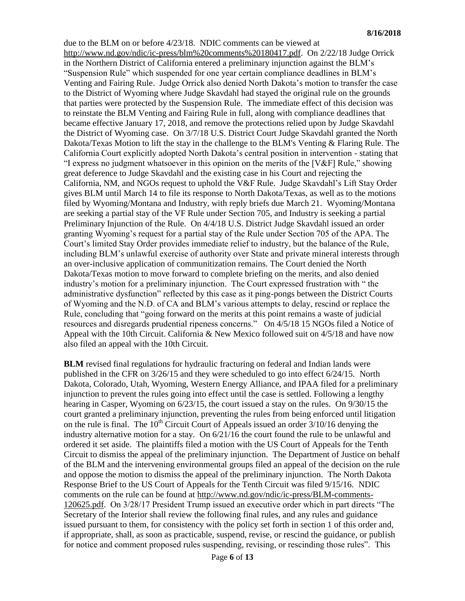due to the BLM on or before 4/23/18. NDIC comments can be viewed at [http://www.nd.gov/ndic/ic-press/blm%20comments%20180417.pdf.](http://www.nd.gov/ndic/ic-press/blm%20comments%20180417.pdf) On 2/22/18 Judge Orrick in the Northern District of California entered a preliminary injunction against the BLM's "Suspension Rule" which suspended for one year certain compliance deadlines in BLM's Venting and Fairing Rule. Judge Orrick also denied North Dakota's motion to transfer the case to the District of Wyoming where Judge Skavdahl had stayed the original rule on the grounds that parties were protected by the Suspension Rule. The immediate effect of this decision was to reinstate the BLM Venting and Fairing Rule in full, along with compliance deadlines that became effective January 17, 2018, and remove the protections relied upon by Judge Skavdahl the District of Wyoming case. On 3/7/18 U.S. District Court Judge Skavdahl granted the North Dakota/Texas Motion to lift the stay in the challenge to the BLM's Venting & Flaring Rule. The California Court explicitly adopted North Dakota's central position in intervention - stating that "I express no judgment whatsoever in this opinion on the merits of the [V&F] Rule," showing great deference to Judge Skavdahl and the existing case in his Court and rejecting the California, NM, and NGOs request to uphold the V&F Rule. Judge Skavdahl's Lift Stay Order gives BLM until March 14 to file its response to North Dakota/Texas, as well as to the motions filed by Wyoming/Montana and Industry, with reply briefs due March 21. Wyoming/Montana are seeking a partial stay of the VF Rule under Section 705, and Industry is seeking a partial Preliminary Injunction of the Rule. On 4/4/18 U.S. District Judge Skavdahl issued an order granting Wyoming's request for a partial stay of the Rule under Section 705 of the APA. The Court's limited Stay Order provides immediate relief to industry, but the balance of the Rule, including BLM's unlawful exercise of authority over State and private mineral interests through an over-inclusive application of communitization remains. The Court denied the North Dakota/Texas motion to move forward to complete briefing on the merits, and also denied industry's motion for a preliminary injunction. The Court expressed frustration with " the administrative dysfunction" reflected by this case as it ping-pongs between the District Courts of Wyoming and the N.D. of CA and BLM's various attempts to delay, rescind or replace the Rule, concluding that "going forward on the merits at this point remains a waste of judicial resources and disregards prudential ripeness concerns." On 4/5/18 15 NGOs filed a Notice of Appeal with the 10th Circuit. California & New Mexico followed suit on 4/5/18 and have now also filed an appeal with the 10th Circuit.

**BLM** revised final regulations for hydraulic fracturing on federal and Indian lands were published in the CFR on 3/26/15 and they were scheduled to go into effect 6/24/15. North Dakota, Colorado, Utah, Wyoming, Western Energy Alliance, and IPAA filed for a preliminary injunction to prevent the rules going into effect until the case is settled. Following a lengthy hearing in Casper, Wyoming on 6/23/15, the court issued a stay on the rules. On 9/30/15 the court granted a preliminary injunction, preventing the rules from being enforced until litigation on the rule is final. The  $10<sup>th</sup>$  Circuit Court of Appeals issued an order  $3/10/16$  denying the industry alternative motion for a stay. On 6/21/16 the court found the rule to be unlawful and ordered it set aside. The plaintiffs filed a motion with the US Court of Appeals for the Tenth Circuit to dismiss the appeal of the preliminary injunction. The Department of Justice on behalf of the BLM and the intervening environmental groups filed an appeal of the decision on the rule and oppose the motion to dismiss the appeal of the preliminary injunction. The North Dakota Response Brief to the US Court of Appeals for the Tenth Circuit was filed 9/15/16. NDIC comments on the rule can be found at [http://www.nd.gov/ndic/ic-press/BLM-comments-](http://www.nd.gov/ndic/ic-press/BLM-comments-120625.pdf)[120625.pdf.](http://www.nd.gov/ndic/ic-press/BLM-comments-120625.pdf) On 3/28/17 President Trump issued an executive order which in part directs "The Secretary of the Interior shall review the following final rules, and any rules and guidance issued pursuant to them, for consistency with the policy set forth in section 1 of this order and, if appropriate, shall, as soon as practicable, suspend, revise, or rescind the guidance, or publish for notice and comment proposed rules suspending, revising, or rescinding those rules". This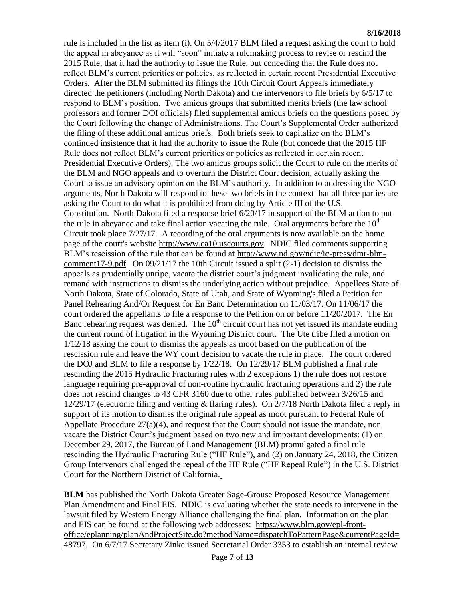rule is included in the list as item (i). On 5/4/2017 BLM filed a request asking the court to hold the appeal in abeyance as it will "soon" initiate a rulemaking process to revise or rescind the 2015 Rule, that it had the authority to issue the Rule, but conceding that the Rule does not reflect BLM's current priorities or policies, as reflected in certain recent Presidential Executive Orders. After the BLM submitted its filings the 10th Circuit Court Appeals immediately directed the petitioners (including North Dakota) and the intervenors to file briefs by 6/5/17 to respond to BLM's position. Two amicus groups that submitted merits briefs (the law school professors and former DOI officials) filed supplemental amicus briefs on the questions posed by the Court following the change of Administrations. The Court's Supplemental Order authorized the filing of these additional amicus briefs. Both briefs seek to capitalize on the BLM's continued insistence that it had the authority to issue the Rule (but concede that the 2015 HF Rule does not reflect BLM's current priorities or policies as reflected in certain recent Presidential Executive Orders). The two amicus groups solicit the Court to rule on the merits of the BLM and NGO appeals and to overturn the District Court decision, actually asking the Court to issue an advisory opinion on the BLM's authority. In addition to addressing the NGO arguments, North Dakota will respond to these two briefs in the context that all three parties are asking the Court to do what it is prohibited from doing by Article III of the U.S. Constitution. North Dakota filed a response brief 6/20/17 in support of the BLM action to put the rule in abeyance and take final action vacating the rule. Oral arguments before the  $10<sup>th</sup>$ Circuit took place 7/27/17. A recording of the oral arguments is now available on the home page of the court's website [http://www.ca10.uscourts.gov.](https://urldefense.proofpoint.com/v2/url?u=http-3A__www.ca10.uscourts.gov&d=DwMGaQ&c=2s2mvbfY0UoSKkl6_Ol9wg&r=-wqsZnBxny594KY8HeElow&m=Ul_VtJUX6iW5pvHjCcBxUWtskC0F4Dhry3sPtcEHvCw&s=laRHiLDv5w8otcQWQjpn82WMieoB2AZ-Q4M1LFQPL5s&e=) NDIC filed comments supporting BLM's rescission of the rule that can be found at [http://www.nd.gov/ndic/ic-press/dmr-blm](http://www.nd.gov/ndic/ic-press/dmr-blm-comment17-9.pdf)[comment17-9.pdf.](http://www.nd.gov/ndic/ic-press/dmr-blm-comment17-9.pdf) On 09/21/17 the 10th Circuit issued a split (2-1) decision to dismiss the appeals as prudentially unripe, vacate the district court's judgment invalidating the rule, and remand with instructions to dismiss the underlying action without prejudice. Appellees State of North Dakota, State of Colorado, State of Utah, and State of Wyoming's filed a Petition for Panel Rehearing And/Or Request for En Banc Determination on 11/03/17. On 11/06/17 the court ordered the appellants to file a response to the Petition on or before 11/20/2017. The En Banc rehearing request was denied. The  $10<sup>th</sup>$  circuit court has not yet issued its mandate ending the current round of litigation in the Wyoming District court. The Ute tribe filed a motion on 1/12/18 asking the court to dismiss the appeals as moot based on the publication of the rescission rule and leave the WY court decision to vacate the rule in place. The court ordered the DOJ and BLM to file a response by 1/22/18. On 12/29/17 BLM published a final rule rescinding the 2015 Hydraulic Fracturing rules with 2 exceptions 1) the rule does not restore language requiring pre-approval of non-routine hydraulic fracturing operations and 2) the rule does not rescind changes to 43 CFR 3160 due to other rules published between 3/26/15 and 12/29/17 (electronic filing and venting & flaring rules). On 2/7/18 North Dakota filed a reply in support of its motion to dismiss the original rule appeal as moot pursuant to Federal Rule of Appellate Procedure 27(a)(4), and request that the Court should not issue the mandate, nor vacate the District Court's judgment based on two new and important developments: (1) on December 29, 2017, the Bureau of Land Management (BLM) promulgated a final rule rescinding the Hydraulic Fracturing Rule ("HF Rule"), and (2) on January 24, 2018, the Citizen Group Intervenors challenged the repeal of the HF Rule ("HF Repeal Rule") in the U.S. District Court for the Northern District of California.

**BLM** has published the North Dakota Greater Sage-Grouse Proposed Resource Management Plan Amendment and Final EIS. NDIC is evaluating whether the state needs to intervene in the lawsuit filed by Western Energy Alliance challenging the final plan. Information on the plan and EIS can be found at the following web addresses: [https://www.blm.gov/epl-front](https://www.blm.gov/epl-front-office/eplanning/planAndProjectSite.do?methodName=dispatchToPatternPage¤tPageId=48797)[office/eplanning/planAndProjectSite.do?methodName=dispatchToPatternPage&currentPageId=](https://www.blm.gov/epl-front-office/eplanning/planAndProjectSite.do?methodName=dispatchToPatternPage¤tPageId=48797) [48797.](https://www.blm.gov/epl-front-office/eplanning/planAndProjectSite.do?methodName=dispatchToPatternPage¤tPageId=48797) On 6/7/17 Secretary Zinke issued Secretarial Order 3353 to establish an internal review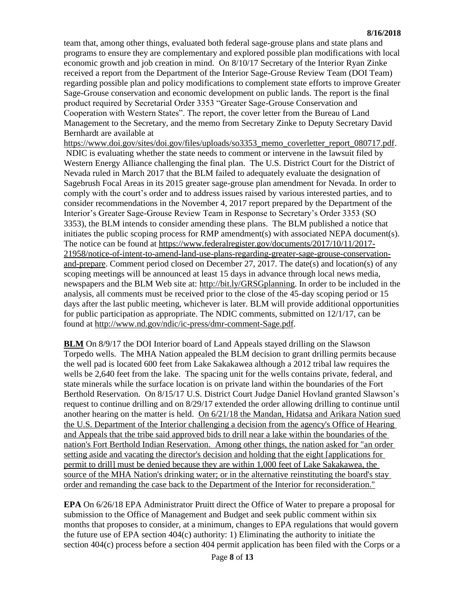team that, among other things, evaluated both federal sage-grouse plans and state plans and programs to ensure they are complementary and explored possible plan modifications with local economic growth and job creation in mind. On 8/10/17 Secretary of the Interior Ryan Zinke received a report from the Department of the Interior Sage-Grouse Review Team (DOI Team) regarding possible plan and policy modifications to complement state efforts to improve Greater Sage-Grouse conservation and economic development on public lands. The report is the final product required by Secretarial Order 3353 "Greater Sage-Grouse Conservation and Cooperation with Western States". The report, the cover letter from the Bureau of Land Management to the Secretary, and the memo from Secretary Zinke to Deputy Secretary David Bernhardt are available at

[https://www.doi.gov/sites/doi.gov/files/uploads/so3353\\_memo\\_coverletter\\_report\\_080717.pdf.](https://www.doi.gov/sites/doi.gov/files/uploads/so3353_memo_coverletter_report_080717.pdf) NDIC is evaluating whether the state needs to comment or intervene in the lawsuit filed by Western Energy Alliance challenging the final plan. The U.S. District Court for the District of Nevada ruled in March 2017 that the BLM failed to adequately evaluate the designation of Sagebrush Focal Areas in its 2015 greater sage-grouse plan amendment for Nevada. In order to comply with the court's order and to address issues raised by various interested parties, and to consider recommendations in the November 4, 2017 report prepared by the Department of the Interior's Greater Sage-Grouse Review Team in Response to Secretary's Order 3353 (SO 3353), the BLM intends to consider amending these plans. The BLM published a notice that initiates the public scoping process for RMP amendment(s) with associated NEPA document(s). The notice can be found at [https://www.federalregister.gov/documents/2017/10/11/2017-](https://www.federalregister.gov/documents/2017/10/11/2017-21958/notice-of-intent-to-amend-land-use-plans-regarding-greater-sage-grouse-conservation-and-prepare) [21958/notice-of-intent-to-amend-land-use-plans-regarding-greater-sage-grouse-conservation](https://www.federalregister.gov/documents/2017/10/11/2017-21958/notice-of-intent-to-amend-land-use-plans-regarding-greater-sage-grouse-conservation-and-prepare)[and-prepare.](https://www.federalregister.gov/documents/2017/10/11/2017-21958/notice-of-intent-to-amend-land-use-plans-regarding-greater-sage-grouse-conservation-and-prepare) Comment period closed on December 27, 2017. The date(s) and location(s) of any scoping meetings will be announced at least 15 days in advance through local news media, newspapers and the BLM Web site at: [http://bit.ly/GRSGplanning.](http://bit.ly/​GRSGplanning) In order to be included in the analysis, all comments must be received prior to the close of the 45-day scoping period or 15 days after the last public meeting, whichever is later. BLM will provide additional opportunities for public participation as appropriate. The NDIC comments, submitted on 12/1/17, can be found at [http://www.nd.gov/ndic/ic-press/dmr-comment-Sage.pdf.](http://www.nd.gov/ndic/ic-press/dmr-comment-Sage.pdf)

**BLM** On 8/9/17 the DOI Interior board of Land Appeals stayed drilling on the Slawson Torpedo wells. The MHA Nation appealed the BLM decision to grant drilling permits because the well pad is located 600 feet from Lake Sakakawea although a 2012 tribal law requires the wells be 2,640 feet from the lake. The spacing unit for the wells contains private, federal, and state minerals while the surface location is on private land within the boundaries of the Fort Berthold Reservation. On 8/15/17 U.S. District Court Judge Daniel Hovland granted Slawson's request to continue drilling and on 8/29/17 extended the order allowing drilling to continue until another hearing on the matter is held. On 6/21/18 the Mandan, Hidatsa and Arikara Nation sued the U.S. Department of the Interior challenging a decision from the agency's Office of Hearing and Appeals that the tribe said approved bids to drill near a lake within the boundaries of the nation's Fort Berthold Indian Reservation. Among other things, the nation asked for "an order setting aside and vacating the director's decision and holding that the eight [applications for permit to drill] must be denied because they are within 1,000 feet of Lake Sakakawea, the source of the MHA Nation's drinking water; or in the alternative reinstituting the board's stay order and remanding the case back to the Department of the Interior for reconsideration."

**EPA** On 6/26/18 EPA Administrator Pruitt direct the Office of Water to prepare a proposal for submission to the Office of Management and Budget and seek public comment within six months that proposes to consider, at a minimum, changes to EPA regulations that would govern the future use of EPA section 404(c) authority: 1) Eliminating the authority to initiate the section 404(c) process before a section 404 permit application has been filed with the Corps or a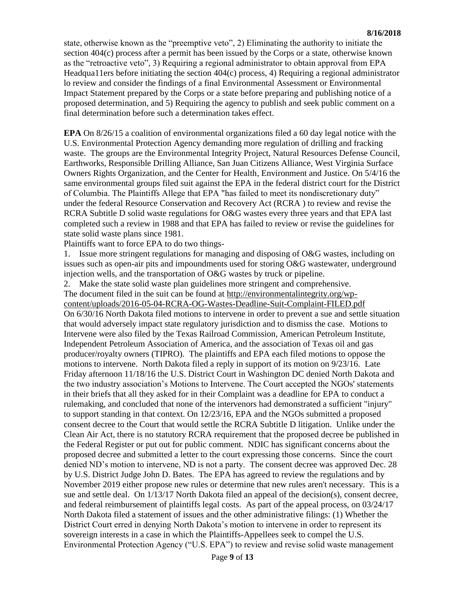state, otherwise known as the "preemptive veto", 2) Eliminating the authority to initiate the section 404(c) process after a permit has been issued by the Corps or a state, otherwise known as the "retroactive veto", 3) Requiring a regional administrator to obtain approval from EPA Headqua11ers before initiating the section 404(c) process, 4) Requiring a regional administrator lo review and consider the findings of a final Environmental Assessment or Environmental Impact Statement prepared by the Corps or a state before preparing and publishing notice of a proposed determination, and 5) Requiring the agency to publish and seek public comment on a final determination before such a determination takes effect.

**EPA** On 8/26/15 a coalition of environmental organizations filed a 60 day legal notice with the U.S. Environmental Protection Agency demanding more regulation of drilling and fracking waste. The groups are the Environmental Integrity Project, Natural Resources Defense Council, Earthworks, Responsible Drilling Alliance, San Juan Citizens Alliance, West Virginia Surface Owners Rights Organization, and the Center for Health, Environment and Justice. On 5/4/16 the same environmental groups filed suit against the EPA in the federal district court for the District of Columbia. The Plaintiffs Allege that EPA "has failed to meet its nondiscretionary duty" under the federal Resource Conservation and Recovery Act (RCRA ) to review and revise the RCRA Subtitle D solid waste regulations for O&G wastes every three years and that EPA last completed such a review in 1988 and that EPA has failed to review or revise the guidelines for state solid waste plans since 1981.

Plaintiffs want to force EPA to do two things-

1. Issue more stringent regulations for managing and disposing of O&G wastes, including on issues such as open-air pits and impoundments used for storing O&G wastewater, underground injection wells, and the transportation of O&G wastes by truck or pipeline.

2. Make the state solid waste plan guidelines more stringent and comprehensive. The document filed in the suit can be found at [http://environmentalintegrity.org/wp](http://environmentalintegrity.org/wp-content/uploads/2016-05-04-RCRA-OG-Wastes-Deadline-Suit-Complaint-FILED.pdf)[content/uploads/2016-05-04-RCRA-OG-Wastes-Deadline-Suit-Complaint-FILED.pdf](http://environmentalintegrity.org/wp-content/uploads/2016-05-04-RCRA-OG-Wastes-Deadline-Suit-Complaint-FILED.pdf) On 6/30/16 North Dakota filed motions to intervene in order to prevent a sue and settle situation that would adversely impact state regulatory jurisdiction and to dismiss the case. Motions to Intervene were also filed by the Texas Railroad Commission, American Petroleum Institute, Independent Petroleum Association of America, and the association of Texas oil and gas producer/royalty owners (TIPRO). The plaintiffs and EPA each filed motions to oppose the motions to intervene. North Dakota filed a reply in support of its motion on 9/23/16. Late Friday afternoon 11/18/16 the U.S. District Court in Washington DC denied North Dakota and the two industry association's Motions to Intervene. The Court accepted the NGOs' statements in their briefs that all they asked for in their Complaint was a deadline for EPA to conduct a rulemaking, and concluded that none of the intervenors had demonstrated a sufficient "injury" to support standing in that context. On 12/23/16, EPA and the NGOs submitted a proposed consent decree to the Court that would settle the RCRA Subtitle D litigation. Unlike under the Clean Air Act, there is no statutory RCRA requirement that the proposed decree be published in the Federal Register or put out for public comment. NDIC has significant concerns about the proposed decree and submitted a letter to the court expressing those concerns. Since the court denied ND's motion to intervene, ND is not a party. The consent decree was approved Dec. 28 by U.S. District Judge John D. Bates. The EPA has agreed to review the regulations and by November 2019 either propose new rules or determine that new rules aren't necessary. This is a sue and settle deal. On 1/13/17 North Dakota filed an appeal of the decision(s), consent decree, and federal reimbursement of plaintiffs legal costs. As part of the appeal process, on 03/24/17 North Dakota filed a statement of issues and the other administrative filings: (1) Whether the District Court erred in denying North Dakota's motion to intervene in order to represent its sovereign interests in a case in which the Plaintiffs-Appellees seek to compel the U.S. Environmental Protection Agency ("U.S. EPA") to review and revise solid waste management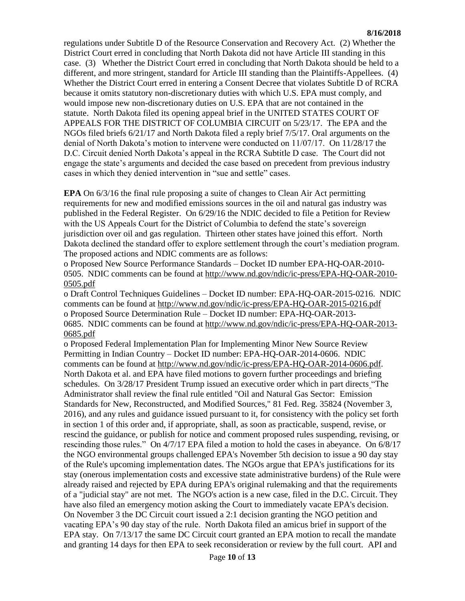regulations under Subtitle D of the Resource Conservation and Recovery Act. (2) Whether the District Court erred in concluding that North Dakota did not have Article III standing in this case. (3) Whether the District Court erred in concluding that North Dakota should be held to a different, and more stringent, standard for Article III standing than the Plaintiffs-Appellees. (4) Whether the District Court erred in entering a Consent Decree that violates Subtitle D of RCRA because it omits statutory non-discretionary duties with which U.S. EPA must comply, and would impose new non-discretionary duties on U.S. EPA that are not contained in the statute. North Dakota filed its opening appeal brief in the UNITED STATES COURT OF APPEALS FOR THE DISTRICT OF COLUMBIA CIRCUIT on 5/23/17. The EPA and the NGOs filed briefs 6/21/17 and North Dakota filed a reply brief 7/5/17. Oral arguments on the denial of North Dakota's motion to intervene were conducted on 11/07/17. On 11/28/17 the D.C. Circuit denied North Dakota's appeal in the RCRA Subtitle D case. The Court did not engage the state's arguments and decided the case based on precedent from previous industry cases in which they denied intervention in "sue and settle" cases.

**EPA** On 6/3/16 the final rule proposing a suite of changes to Clean Air Act permitting requirements for new and modified emissions sources in the oil and natural gas industry was published in the Federal Register. On 6/29/16 the NDIC decided to file a Petition for Review with the US Appeals Court for the District of Columbia to defend the state's sovereign jurisdiction over oil and gas regulation. Thirteen other states have joined this effort. North Dakota declined the standard offer to explore settlement through the court's mediation program. The proposed actions and NDIC comments are as follows:

o Proposed New Source Performance Standards – Docket ID number EPA-HQ-OAR-2010- 0505. NDIC comments can be found at [http://www.nd.gov/ndic/ic-press/EPA-HQ-OAR-2010-](http://www.nd.gov/ndic/ic-press/EPA-HQ-OAR-2010-0505.pdf) [0505.pdf](http://www.nd.gov/ndic/ic-press/EPA-HQ-OAR-2010-0505.pdf)

o Draft Control Techniques Guidelines – Docket ID number: EPA-HQ-OAR-2015-0216. NDIC comments can be found at<http://www.nd.gov/ndic/ic-press/EPA-HQ-OAR-2015-0216.pdf> o Proposed Source Determination Rule – Docket ID number: EPA-HQ-OAR-2013- 0685. NDIC comments can be found at [http://www.nd.gov/ndic/ic-press/EPA-HQ-OAR-2013-](http://www.nd.gov/ndic/ic-press/EPA-HQ-OAR-2013-0685.pdf) [0685.pdf](http://www.nd.gov/ndic/ic-press/EPA-HQ-OAR-2013-0685.pdf)

o Proposed Federal Implementation Plan for Implementing Minor New Source Review Permitting in Indian Country – Docket ID number: EPA-HQ-OAR-2014-0606. NDIC comments can be found at [http://www.nd.gov/ndic/ic-press/EPA-HQ-OAR-2014-0606.pdf.](http://www.nd.gov/ndic/ic-press/EPA-HQ-OAR-2014-0606.pdf) North Dakota et al. and EPA have filed motions to govern further proceedings and briefing schedules. On 3/28/17 President Trump issued an executive order which in part directs "The Administrator shall review the final rule entitled "Oil and Natural Gas Sector: Emission Standards for New, Reconstructed, and Modified Sources," 81 Fed. Reg. 35824 (November 3, 2016), and any rules and guidance issued pursuant to it, for consistency with the policy set forth in section 1 of this order and, if appropriate, shall, as soon as practicable, suspend, revise, or rescind the guidance, or publish for notice and comment proposed rules suspending, revising, or rescinding those rules." On 4/7/17 EPA filed a motion to hold the cases in abeyance. On 6/8/17 the NGO environmental groups challenged EPA's November 5th decision to issue a 90 day stay of the Rule's upcoming implementation dates. The NGOs argue that EPA's justifications for its stay (onerous implementation costs and excessive state administrative burdens) of the Rule were already raised and rejected by EPA during EPA's original rulemaking and that the requirements of a "judicial stay" are not met. The NGO's action is a new case, filed in the D.C. Circuit. They have also filed an emergency motion asking the Court to immediately vacate EPA's decision. On November 3 the DC Circuit court issued a 2:1 decision granting the NGO petition and vacating EPA's 90 day stay of the rule. North Dakota filed an amicus brief in support of the EPA stay. On 7/13/17 the same DC Circuit court granted an EPA motion to recall the mandate and granting 14 days for then EPA to seek reconsideration or review by the full court. API and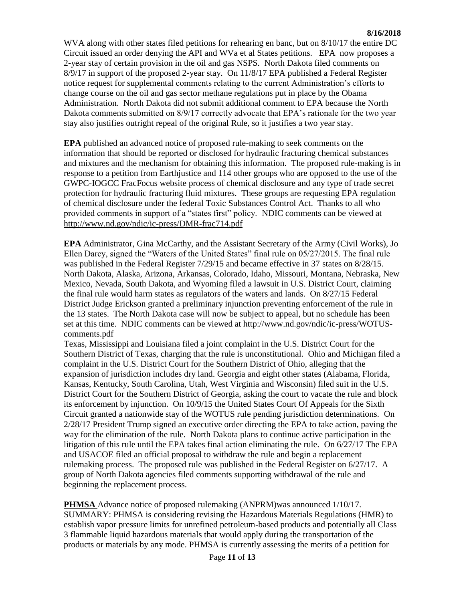WVA along with other states filed petitions for rehearing en banc, but on  $8/10/17$  the entire DC Circuit issued an order denying the API and WVa et al States petitions. EPA now proposes a 2-year stay of certain provision in the oil and gas NSPS. North Dakota filed comments on 8/9/17 in support of the proposed 2-year stay. On 11/8/17 EPA published a Federal Register notice request for supplemental comments relating to the current Administration's efforts to change course on the oil and gas sector methane regulations put in place by the Obama Administration. North Dakota did not submit additional comment to EPA because the North Dakota comments submitted on 8/9/17 correctly advocate that EPA's rationale for the two year stay also justifies outright repeal of the original Rule, so it justifies a two year stay.

**EPA** published an advanced notice of proposed rule-making to seek comments on the information that should be reported or disclosed for hydraulic fracturing chemical substances and mixtures and the mechanism for obtaining this information. The proposed rule-making is in response to a petition from Earthjustice and 114 other groups who are opposed to the use of the GWPC-IOGCC FracFocus website process of chemical disclosure and any type of trade secret protection for hydraulic fracturing fluid mixtures. These groups are requesting EPA regulation of chemical disclosure under the federal Toxic Substances Control Act. Thanks to all who provided comments in support of a "states first" policy. NDIC comments can be viewed at <http://www.nd.gov/ndic/ic-press/DMR-frac714.pdf>

**EPA** Administrator, Gina McCarthy, and the Assistant Secretary of the Army (Civil Works), Jo Ellen Darcy, signed the "Waters of the United States" final rule on 05/27/2015. The final rule was published in the Federal Register  $7/29/15$  and became effective in 37 states on 8/28/15. North Dakota, Alaska, Arizona, Arkansas, Colorado, Idaho, Missouri, Montana, Nebraska, New Mexico, Nevada, South Dakota, and Wyoming filed a lawsuit in U.S. District Court, claiming the final rule would harm states as regulators of the waters and lands. On 8/27/15 Federal District Judge Erickson granted a preliminary injunction preventing enforcement of the rule in the 13 states. The North Dakota case will now be subject to appeal, but no schedule has been set at this time. NDIC comments can be viewed at [http://www.nd.gov/ndic/ic-press/WOTUS](http://www.nd.gov/ndic/ic-press/WOTUS-comments.pdf)[comments.pdf](http://www.nd.gov/ndic/ic-press/WOTUS-comments.pdf)

Texas, Mississippi and Louisiana filed a joint complaint in the U.S. District Court for the Southern District of Texas, charging that the rule is unconstitutional. Ohio and Michigan filed a complaint in the U.S. District Court for the Southern District of Ohio, alleging that the expansion of jurisdiction includes dry land. Georgia and eight other states (Alabama, Florida, Kansas, Kentucky, South Carolina, Utah, West Virginia and Wisconsin) filed suit in the U.S. District Court for the Southern District of Georgia, asking the court to vacate the rule and block its enforcement by injunction. On 10/9/15 the United States Court Of Appeals for the Sixth Circuit granted a nationwide stay of the WOTUS rule pending jurisdiction determinations. On 2/28/17 President Trump signed an executive order directing the EPA to take action, paving the way for the elimination of the rule. North Dakota plans to continue active participation in the litigation of this rule until the EPA takes final action eliminating the rule. On 6/27/17 The EPA and USACOE filed an official proposal to withdraw the rule and begin a replacement rulemaking process. The proposed rule was published in the Federal Register on 6/27/17. A group of North Dakota agencies filed comments supporting withdrawal of the rule and beginning the replacement process.

**PHMSA** Advance notice of proposed rulemaking (ANPRM)was announced 1/10/17. SUMMARY: PHMSA is considering revising the Hazardous Materials Regulations (HMR) to establish vapor pressure limits for unrefined petroleum-based products and potentially all Class 3 flammable liquid hazardous materials that would apply during the transportation of the products or materials by any mode. PHMSA is currently assessing the merits of a petition for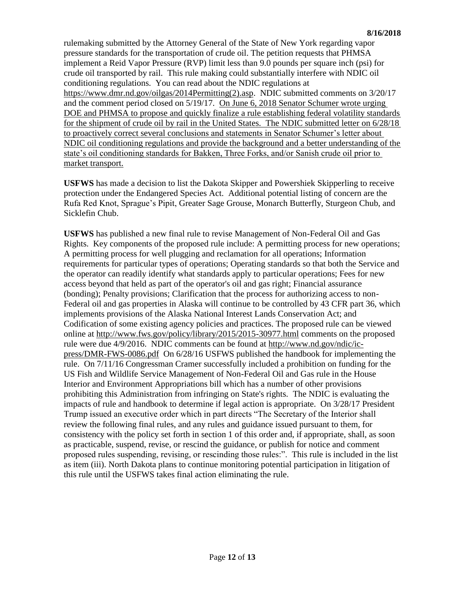rulemaking submitted by the Attorney General of the State of New York regarding vapor pressure standards for the transportation of crude oil. The petition requests that PHMSA implement a Reid Vapor Pressure (RVP) limit less than 9.0 pounds per square inch (psi) for crude oil transported by rail. This rule making could substantially interfere with NDIC oil conditioning regulations. You can read about the NDIC regulations at [https://www.dmr.nd.gov/oilgas/2014Permitting\(2\).asp.](https://www.dmr.nd.gov/oilgas/2014Permitting(2).asp) NDIC submitted comments on 3/20/17 and the comment period closed on 5/19/17. On June 6, 2018 Senator Schumer wrote urging DOE and PHMSA to propose and quickly finalize a rule establishing federal volatility standards for the shipment of crude oil by rail in the United States. The NDIC submitted letter on 6/28/18 to proactively correct several conclusions and statements in Senator Schumer's letter about NDIC oil conditioning regulations and provide the background and a better understanding of the state's oil conditioning standards for Bakken, Three Forks, and/or Sanish crude oil prior to market transport.

**USFWS** has made a decision to list the Dakota Skipper and Powershiek Skipperling to receive protection under the Endangered Species Act. Additional potential listing of concern are the Rufa Red Knot, Sprague's Pipit, Greater Sage Grouse, Monarch Butterfly, Sturgeon Chub, and Sicklefin Chub.

**USFWS** has published a new final rule to revise Management of Non-Federal Oil and Gas Rights. Key components of the proposed rule include: A permitting process for new operations; A permitting process for well plugging and reclamation for all operations; Information requirements for particular types of operations; Operating standards so that both the Service and the operator can readily identify what standards apply to particular operations; Fees for new access beyond that held as part of the operator's oil and gas right; Financial assurance (bonding); Penalty provisions; Clarification that the process for authorizing access to non-Federal oil and gas properties in Alaska will continue to be controlled by 43 CFR part 36, which implements provisions of the Alaska National Interest Lands Conservation Act; and Codification of some existing agency policies and practices. The proposed rule can be viewed online at<http://www.fws.gov/policy/library/2015/2015-30977.html> comments on the proposed rule were due 4/9/2016. NDIC comments can be found at [http://www.nd.gov/ndic/ic](http://www.nd.gov/ndic/ic-press/DMR-FWS-0086.pdf)[press/DMR-FWS-0086.pdf](http://www.nd.gov/ndic/ic-press/DMR-FWS-0086.pdf) On 6/28/16 USFWS published the handbook for implementing the rule. On 7/11/16 Congressman Cramer successfully included a prohibition on funding for the US Fish and Wildlife Service Management of Non-Federal Oil and Gas rule in the House Interior and Environment Appropriations bill which has a number of other provisions prohibiting this Administration from infringing on State's rights. The NDIC is evaluating the impacts of rule and handbook to determine if legal action is appropriate. On 3/28/17 President Trump issued an executive order which in part directs "The Secretary of the Interior shall review the following final rules, and any rules and guidance issued pursuant to them, for consistency with the policy set forth in section 1 of this order and, if appropriate, shall, as soon as practicable, suspend, revise, or rescind the guidance, or publish for notice and comment proposed rules suspending, revising, or rescinding those rules:". This rule is included in the list as item (iii). North Dakota plans to continue monitoring potential participation in litigation of this rule until the USFWS takes final action eliminating the rule.